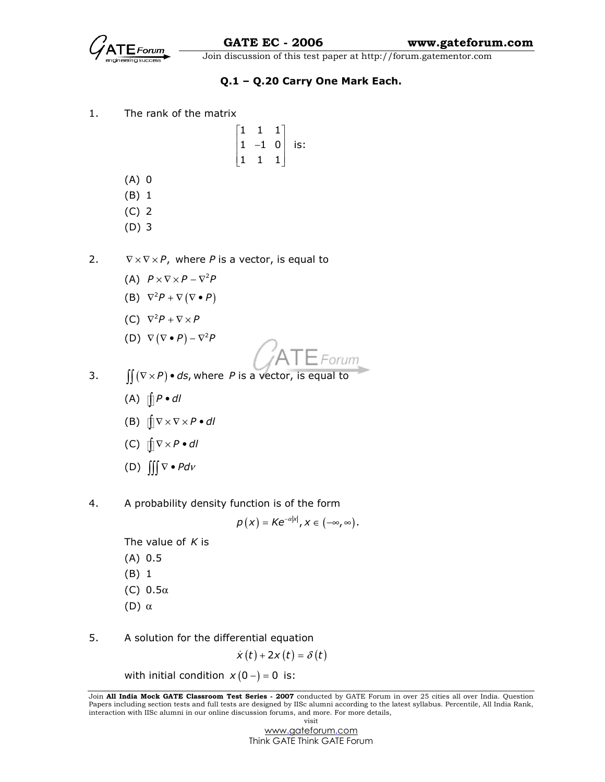

### Q.1 – Q.20 Carry One Mark Each.

1. The rank of the matrix

| T |   |     |
|---|---|-----|
| 1 | 0 | is: |
|   |   |     |

- (A) 0
- (B) 1
- (C) 2
- (D) 3
- 2.  $\nabla \times \nabla \times P$ , where P is a vector, is equal to
	- (A)  $P \times \nabla \times P \nabla^2 P$
- (B)  $\nabla^2 P + \nabla (\nabla \bullet P)$ 
	- (C)  $\nabla^2 P + \nabla \times P$
- (D)  $\nabla (\nabla \bullet P) \nabla^2 P$



- 3.  $\int \int (\nabla \times P) \cdot ds$ , where P is a vector, is equal to
	- (A)  $\int P \cdot dl$
	- (B)  $\int \nabla \times \nabla \times P \cdot dl$
	- (C)  $\int \nabla \times P \cdot dl$
	- (D)  $\iiint \nabla \cdot P d\nu$
- 4. A probability density function is of the form

 $\rho\left(x\right)=\mathcal{K}\mathrm{e}^{-\alpha\left|x\right|},x\in\left(-\infty,\infty\right).$ 

The value of  $K$  is

- (A) 0.5
- (B) 1
- (C)  $0.5\alpha$
- (D) α
- 5. A solution for the differential equation

$$
\dot{x}(t) + 2x(t) = \delta(t)
$$

with initial condition  $x(0-) = 0$  is:

Join All India Mock GATE Classroom Test Series - 2007 conducted by GATE Forum in over 25 cities all over India. Question Papers including section tests and full tests are designed by IISc alumni according to the latest syllabus. Percentile, All India Rank, interaction with IISc alumni in our online discussion forums, and more. For more details, visit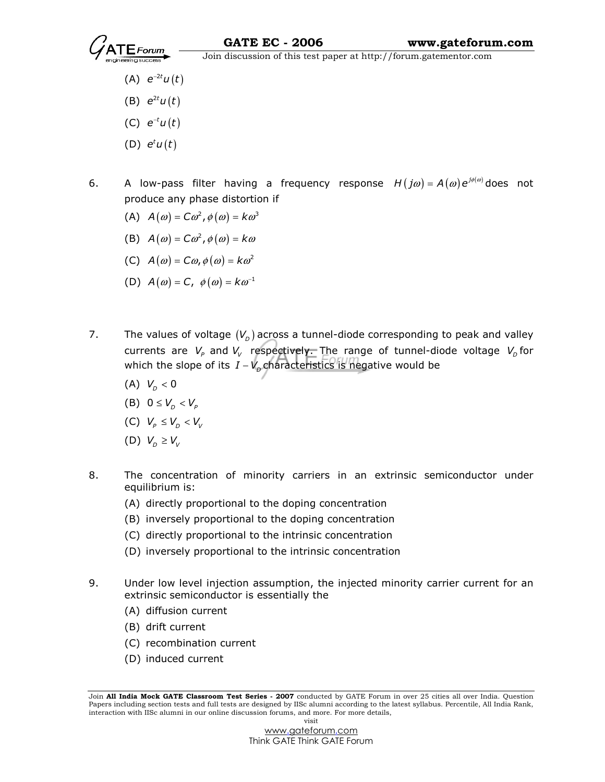- (A)  $e^{-2t}u(t)$
- (B)  $e^{2t}u(t)$
- (C)  $e^{-t}u(t)$
- (D)  $e^t u(t)$
- 6. A low-pass filter having a frequency response  $H(j\omega) = A(\omega) e^{j\phi(\omega)}$  does not produce any phase distortion if
- (A)  $A(\omega) = C\omega^2$ ,  $\phi(\omega) = k\omega^3$
- (B)  $A(\omega) = C\omega^2$ ,  $\phi(\omega) = k\omega$
- (C)  $A(\omega) = C\omega, \phi(\omega) = k\omega^2$
- (D)  $A(\omega) = C$ ,  $\phi(\omega) = k \omega^{-1}$
- 7. The values of voltage  $(V_D)$  across a tunnel-diode corresponding to peak and valley currents are  $V_\rho$  and  $V_\nu$  respectively. The range of tunnel-diode voltage  $V_\rho$  for which the slope of its  $I$  –  $V_{\scriptscriptstyle \!\! D}$ characteristics is negative would be
- (A)  $V_D < 0$ 
	- (B)  $0 \leq V_{\scriptscriptstyle D} < V_{\scriptscriptstyle P}$
	- (C)  $V_p \leq V_p < V_v$
	- (D)  $V_p \geq V_v$
- 8. The concentration of minority carriers in an extrinsic semiconductor under equilibrium is:
	- (A) directly proportional to the doping concentration
	- (B) inversely proportional to the doping concentration
	- (C) directly proportional to the intrinsic concentration
	- (D) inversely proportional to the intrinsic concentration
- 9. Under low level injection assumption, the injected minority carrier current for an extrinsic semiconductor is essentially the
	- (A) diffusion current
	- (B) drift current
	- (C) recombination current
	- (D) induced current

Join All India Mock GATE Classroom Test Series - 2007 conducted by GATE Forum in over 25 cities all over India. Question Papers including section tests and full tests are designed by IISc alumni according to the latest syllabus. Percentile, All India Rank, interaction with IISc alumni in our online discussion forums, and more. For more details, visit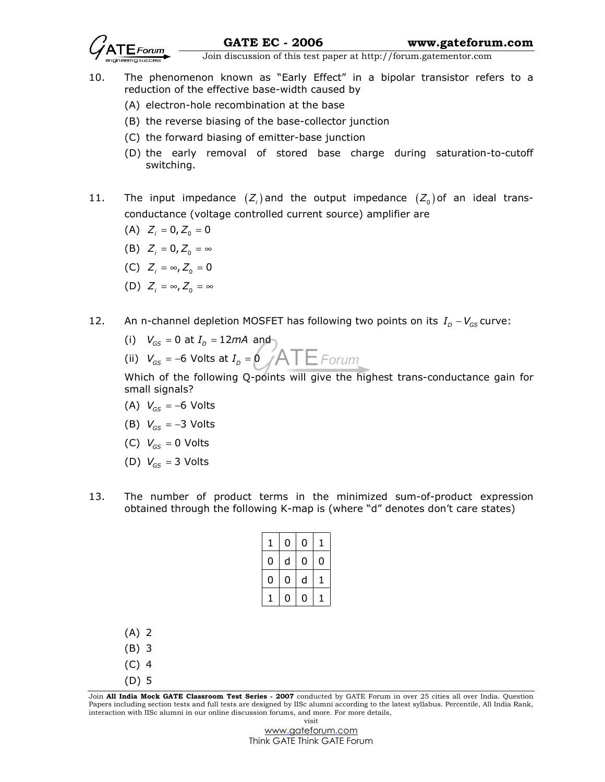

- 10. The phenomenon known as "Early Effect" in a bipolar transistor refers to a reduction of the effective base-width caused by
	- (A) electron-hole recombination at the base
	- (B) the reverse biasing of the base-collector junction
	- (C) the forward biasing of emitter-base junction
	- (D) the early removal of stored base charge during saturation-to-cutoff switching.
- 11. The input impedance  $(Z_i)$  and the output impedance  $(Z_0)$  of an ideal transconductance (voltage controlled current source) amplifier are
- (A)  $Z_i = 0, Z_0 = 0$
- (B)  $Z_i = 0, Z_0 = \infty$
- (C)  $Z_i = \infty$ ,  $Z_0 = 0$
- (D)  $Z_i = \infty$ ,  $Z_0 = \infty$
- 12. An n-channel depletion MOSFET has following two points on its  $I_D V_{GS}$  curve:
- (i)  $V_{_{GS}}$  = 0 at  $I_{_{D}}$  = 12mA and
- (ii)  $V_{\scriptscriptstyle{GS}}$  = −6 Volts at  $I_{\scriptscriptstyle{D}}$  = 0

Which of the following Q-points will give the highest trans-conductance gain for small signals?

- (A)  $V_{GS} = -6$  Volts
- (B)  $V_{\text{cc}} = -3$  Volts
- (C)  $V_{GS} = 0$  Volts
- (D)  $V_{cs} = 3$  Volts
- 13. The number of product terms in the minimized sum-of-product expression obtained through the following K-map is (where "d" denotes don't care states)

| 1 | 0 | 0 | 1 |
|---|---|---|---|
| 0 | d | 0 | 0 |
| 0 | 0 | d |   |
| 1 | 0 | 0 |   |

- (A) 2
- (B) 3
- (C) 4
- (D) 5

Join All India Mock GATE Classroom Test Series - 2007 conducted by GATE Forum in over 25 cities all over India. Question Papers including section tests and full tests are designed by IISc alumni according to the latest syllabus. Percentile, All India Rank, interaction with IISc alumni in our online discussion forums, and more. For more details, visit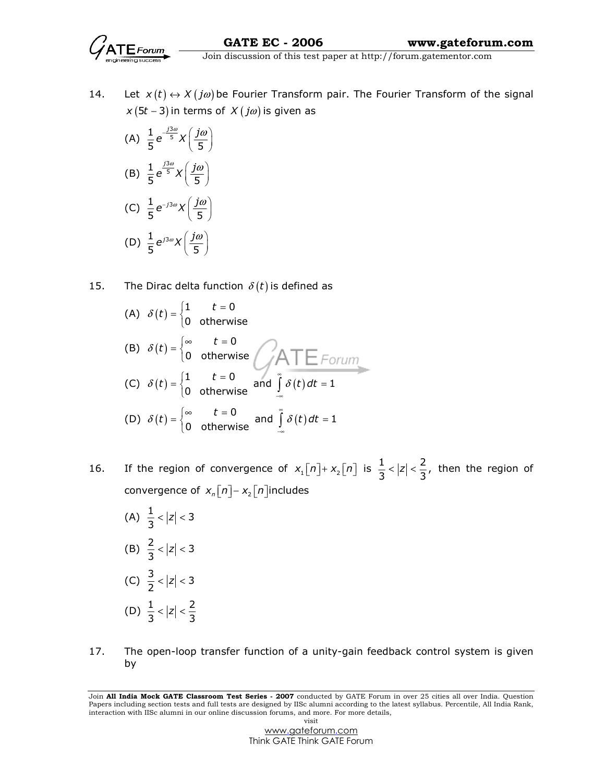

- 14. Let  $x(t) \leftrightarrow X(j\omega)$  be Fourier Transform pair. The Fourier Transform of the signal  $x (5t - 3)$  in terms of  $X ( j\omega )$  is given as
- (A) 3  $\frac{1}{2}e^{-\frac{13}{5}}$ 5 5  $e^{-\frac{j3\omega}{5}}\chi\left(\frac{j\omega}{5}\right)$  $\left(\frac{1}{5}\right)$  (B) 3  $\frac{1}{2}$   $\frac{13}{5}$ 5 5  $e^{\frac{j3\omega}{5}}\chi\left(\frac{j\omega}{5}\right)$  $\left(\frac{2}{5}\right)$ (C)  $\frac{1}{5}e^{-j3\omega}X\left(\frac{j\omega}{5}\right)$  $e^{-j3\omega}X\left(\frac{j\omega}{\pi}\right)$  $\left(\frac{1}{5}\right)$ (D)  $\frac{1}{5} e^{j3\omega} X \left( \frac{j\omega}{5} \right)$  $e^{j3\omega}X\left(\frac{j\omega}{\pi}\right)$  $\left(\frac{1}{5}\right)$
- 15. The Dirac delta function  $\delta(t)$  is defined as

(A) 
$$
\delta(t) = \begin{cases} 1 & t = 0 \\ 0 & \text{otherwise} \end{cases}
$$
  
\n(B)  $\delta(t) = \begin{cases} \infty & t = 0 \\ 0 & \text{otherwise} \end{cases}$   
\n(C)  $\delta(t) = \begin{cases} 1 & t = 0 \\ 0 & \text{otherwise} \end{cases}$  and  $\int_{-\infty}^{0} \delta(t) dt = 1$   
\n(D)  $\delta(t) = \begin{cases} \infty & t = 0 \\ 0 & \text{otherwise} \end{cases}$  and  $\int_{-\infty}^{0} \delta(t) dt = 1$ 

- 16. If the region of convergence of  $x_1[n]+x_2[n]$  is  $\frac{1}{3}$  <  $|z|$  <  $\frac{2}{3}$ , then the region of convergence of  $x_n[n]-x_2[n]$ includes
- (A)  $\frac{1}{3}$  < |z| < 3 (B)  $\frac{2}{3}$  < |z| < 3 (C)  $\frac{3}{2}$  < |z| < 3 (D)  $\frac{1}{3}$  < |z| <  $\frac{2}{3}$
- 17. The open-loop transfer function of a unity-gain feedback control system is given by

Join All India Mock GATE Classroom Test Series - 2007 conducted by GATE Forum in over 25 cities all over India. Question Papers including section tests and full tests are designed by IISc alumni according to the latest syllabus. Percentile, All India Rank, interaction with IISc alumni in our online discussion forums, and more. For more details, visit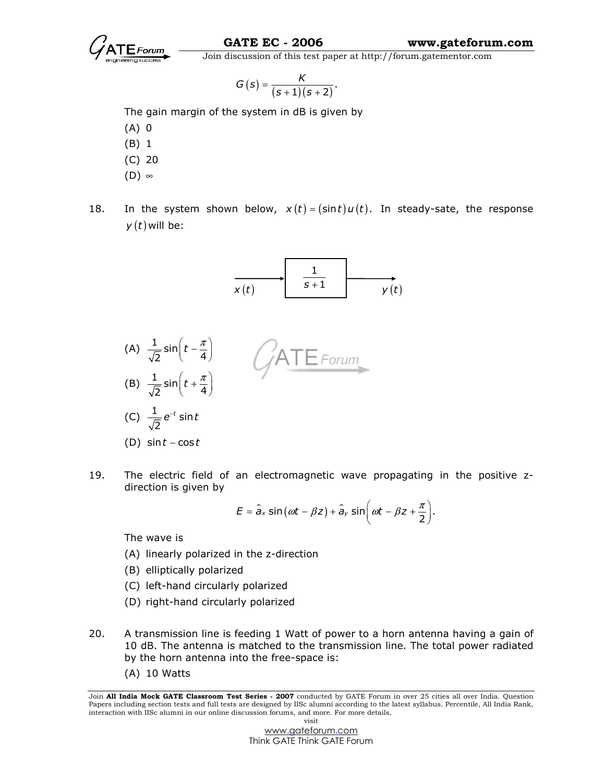

$$
G(s)=\frac{\mathcal{K}}{(s+1)(s+2)}.
$$

The gain margin of the system in dB is given by

- (A) 0
- (B) 1
- (C) 20
- (D) ∞
- 
- 18. In the system shown below,  $x(t) = (\sin t) u(t)$ . In steady-sate, the response  $y(t)$  will be:





19. The electric field of an electromagnetic wave propagating in the positive zdirection is given by

$$
E = \hat{a}_x \sin(\omega t - \beta z) + \hat{a}_y \sin(\omega t - \beta z + \frac{\pi}{2}).
$$

The wave is

- (A) linearly polarized in the z-direction
- (B) elliptically polarized
- (C) left-hand circularly polarized
- (D) right-hand circularly polarized
- 20. A transmission line is feeding 1 Watt of power to a horn antenna having a gain of 10 dB. The antenna is matched to the transmission line. The total power radiated by the horn antenna into the free-space is:
	- (A) 10 Watts

Join All India Mock GATE Classroom Test Series - 2007 conducted by GATE Forum in over 25 cities all over India. Question Papers including section tests and full tests are designed by IISc alumni according to the latest syllabus. Percentile, All India Rank, interaction with IISc alumni in our online discussion forums, and more. For more details, visit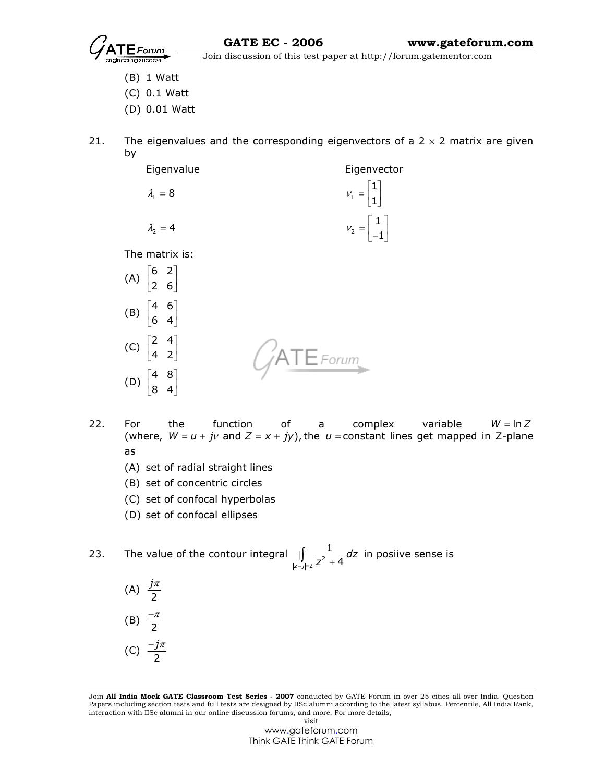

- (B) 1 Watt
- (C) 0.1 Watt
- (D) 0.01 Watt
- 21. The eigenvalues and the corresponding eigenvectors of a  $2 \times 2$  matrix are given by
	- Eigenvalue Eigenvector  $\lambda_1 = 8$  $= 8$   $V_1$ 1  $v_1 = \begin{bmatrix} 1 \\ 1 \end{bmatrix}$  $\lambda$ <sub>2</sub> = 4  $= 4$   $V_2$ 1  $v_2 = \begin{bmatrix} 1 \\ -1 \end{bmatrix}$ The matrix is:
- $(A) \begin{bmatrix} 6 & 2 \\ 2 & 6 \end{bmatrix}$  $\begin{bmatrix} 6 & 2 \end{bmatrix}$  $\begin{bmatrix} 2 & 6 \end{bmatrix}$ (B)  $\begin{vmatrix} 4 & 6 \\ 6 & 4 \end{vmatrix}$  $\begin{bmatrix} 4 & 6 \end{bmatrix}$  $\begin{bmatrix} 6 & 4 \end{bmatrix}$ (C)  $\begin{vmatrix} 2 & 4 \\ 4 & 2 \end{vmatrix}$  $\begin{bmatrix} 2 & 4 \end{bmatrix}$  $\begin{bmatrix} 4 & 2 \end{bmatrix}$  $\mathsf{TE}$ Forum $\mathsf{C}$  $(D) \begin{vmatrix} 4 & 8 \\ 8 & 4 \end{vmatrix}$  $\begin{bmatrix} 4 & 8 \end{bmatrix}$  $\begin{bmatrix} 8 & 4 \end{bmatrix}$
- 22. For the function of a complex variable  $W = \ln Z$ (where,  $W = u + jv$  and  $Z = x + jy$ ), the  $u =$ constant lines get mapped in Z-plane as
	- (A) set of radial straight lines
	- (B) set of concentric circles
	- (C) set of confocal hyperbolas
	- (D) set of confocal ellipses
- 23. The value of the contour integral  $\int\limits_{|z-j|=2} \frac{1}{z^2}$ 1  $\int_{z-j=2}^{J} Z^2 + 4$ dz  $\int_{-j=2}^{\infty}\frac{1}{z^2+4}dz$  in posiive sense is
- (A)  $\frac{J''}{2}$ j<sup>π</sup> (B)  $\frac{7}{2}$  $-\pi$

$$
(C) \frac{-j\pi}{2}
$$

Join All India Mock GATE Classroom Test Series - 2007 conducted by GATE Forum in over 25 cities all over India. Question Papers including section tests and full tests are designed by IISc alumni according to the latest syllabus. Percentile, All India Rank, interaction with IISc alumni in our online discussion forums, and more. For more details, visit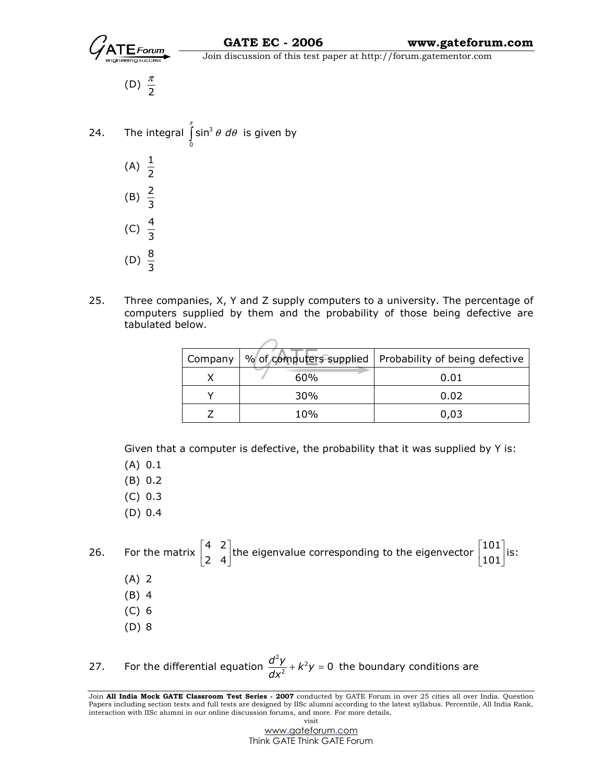

(D)  $\frac{\pi}{2}$ π

- 24. The integral  $\int \sin^3$ 0  $\int\limits_0^{\pi} \sin^3\theta \; d\theta$  is given by (A)  $\frac{1}{2}$ (B)  $\frac{2}{3}$ (C)  $\frac{4}{3}$ (D)  $\frac{8}{3}$
- 25. Three companies, X, Y and Z supply computers to a university. The percentage of computers supplied by them and the probability of those being defective are tabulated below.

| Company |     | % of computers supplied   Probability of being defective |
|---------|-----|----------------------------------------------------------|
|         | 60% | 0.01                                                     |
|         | 30% | 0.02                                                     |
|         | 10% | 0,03                                                     |

Given that a computer is defective, the probability that it was supplied by Y is:

(A) 0.1

(B) 0.2

- (C) 0.3
- (D) 0.4

26. For the matrix  $\begin{vmatrix} 4 & 2 \\ 2 & 4 \end{vmatrix}$  $\begin{bmatrix} 4 & 2 \end{bmatrix}$  $\begin{bmatrix} 2 & 4 \end{bmatrix}$ the eigenvalue corresponding to the eigenvector  $\begin{vmatrix} 101 & 101 \ 101 & 101 \end{vmatrix}$  $\left \lceil 101 \right \rceil$  $\begin{bmatrix} 1 & 0 & 1 \ 1 & 0 & 1 \end{bmatrix}$ is: (A) 2 (B) 4 (C) 6 (D) 8

27. For the differential equation  $\frac{d^2y}{dx^2} + k^2$  $\frac{d^2y}{dx^2} + k^2y = 0$  $\frac{d^{2}y}{dx^{2}} + k^{2}y = 0$  the boundary conditions are

Join All India Mock GATE Classroom Test Series - 2007 conducted by GATE Forum in over 25 cities all over India. Question Papers including section tests and full tests are designed by IISc alumni according to the latest syllabus. Percentile, All India Rank, interaction with IISc alumni in our online discussion forums, and more. For more details, visit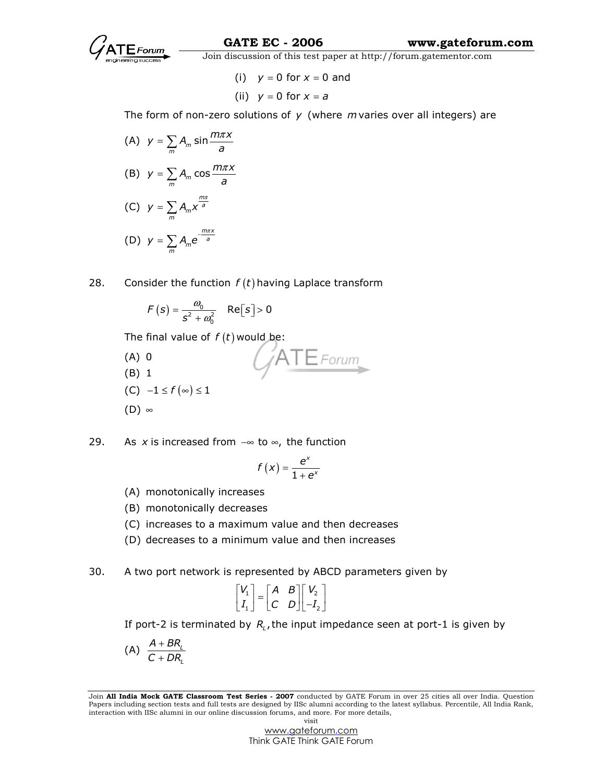

(i)  $y = 0$  for  $x = 0$  and (ii)  $y = 0$  for  $x = a$ 

The form of non-zero solutions of  $y$  (where m varies over all integers) are

(A)  $y = \sum_{m} A_m \sin m$  $y = \sum_{m} A_m \sin \frac{m \pi x}{a}$  $=\sum A_m \sin \frac{m\pi}{2}$ (B)  $y = \sum_{m} A_m \cos m$  $y = \sum_{m} A_m \cos \frac{m \pi x}{a}$  $=\sum A_m \cos \frac{m\pi}{2}$  $(C)$ m  $\sum_{m} A_{m} X^{a}$  $y = \sum A_m x^{\frac{mx}{a}}$  (D)  $m\pi x$  $\sum_{m} A_m e^{-a}$  $y = \sum A_m e^{-\frac{m\pi}{a}}$ 

28. Consider the function  $f(t)$  having Laplace transform

$$
F(s) = \frac{\omega_0}{s^2 + \omega_0^2} \quad \text{Re}[s] > 0
$$

The final value of  $f(t)$  would be:

 $ATE$ Forum (A) 0 (B) 1  $(C) -1 \leq f(\infty) \leq 1$  $(D)$  ∞

29. As x is increased from  $-\infty$  to  $\infty$ , the function

$$
f(x) = \frac{e^x}{1+e^x}
$$

- (A) monotonically increases
- (B) monotonically decreases
- (C) increases to a maximum value and then decreases
- (D) decreases to a minimum value and then increases
- 30. A two port network is represented by ABCD parameters given by

$$
\begin{bmatrix} V_1 \\ I_1 \end{bmatrix} = \begin{bmatrix} A & B \\ C & D \end{bmatrix} \begin{bmatrix} V_2 \\ -I_2 \end{bmatrix}
$$

If port-2 is terminated by  $R_{\iota}$ , the input impedance seen at port-1 is given by

$$
(A) \frac{A + BR_{\iota}}{C + DR_{\iota}}
$$

Join All India Mock GATE Classroom Test Series - 2007 conducted by GATE Forum in over 25 cities all over India. Question Papers including section tests and full tests are designed by IISc alumni according to the latest syllabus. Percentile, All India Rank, interaction with IISc alumni in our online discussion forums, and more. For more details, visit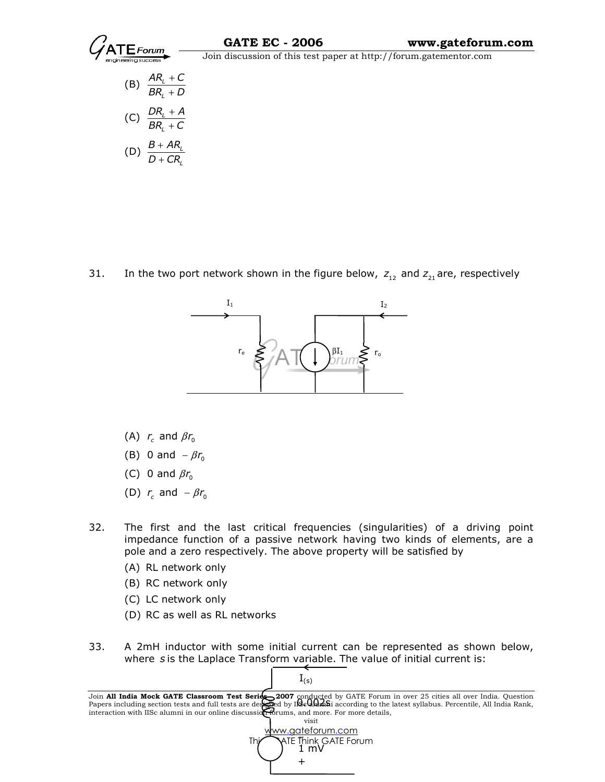

L  $BR_i + D$ +  $(C)$   $\frac{E_1}{2R}$ L  $DR<sub>i</sub> + A$  $BR_i + C$ + +  $(D)$   $\frac{D+MN_{l}}{D-CD}$ L  $B + AR$  $D + CR$ + +

31. In the two port network shown in the figure below,  $z_{12}$  and  $z_{21}$  are, respectively



- (A)  $r_c$  and  $\beta r_0$
- (B) 0 and  $-\beta r_{\rm o}$ 
	- (C) 0 and  $\beta r_0$
- (D)  $r_c$  and  $-\beta r_0$
- 32. The first and the last critical frequencies (singularities) of a driving point impedance function of a passive network having two kinds of elements, are a pole and a zero respectively. The above property will be satisfied by
	- (A) RL network only
	- (B) RC network only
	- (C) LC network only
	- (D) RC as well as RL networks
- 33. A 2mH inductor with some initial current can be represented as shown below, where s is the Laplace Transform variable. The value of initial current is:

 $I_{(s)}$ 



Join All India Mock GATE Classroom Test Series 2007 conducted by GATE Forum in over 25 cities all over India. Question Papers including section tests and full tests are designed by I**ISe dividin**i according to the latest syllabus. Percentile, All India Rank, interaction with IISc alumni in our online discussion forums, and more. For more details, 0.002s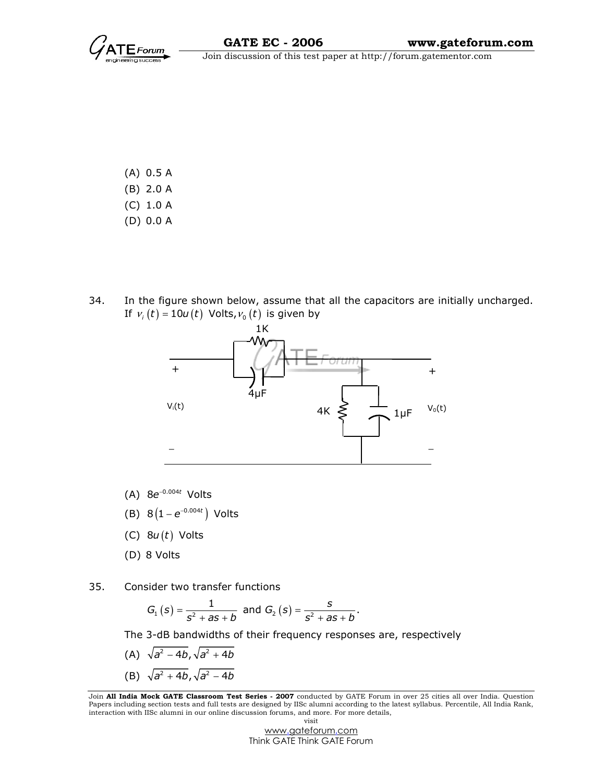

- (A) 0.5 A (B) 2.0 A (C) 1.0 A
- (D) 0.0 A
- 34. In the figure shown below, assume that all the capacitors are initially uncharged. If  $v_i(t) = 10u(t)$  Volts,  $v_0(t)$  is given by



- (A)  $8e^{-0.004t}$  Volts
- (B)  $8\left(1-e^{-0.004t}\right)$  Volts
	- (C)  $8u(t)$  Volts
	- (D) 8 Volts

35. Consider two transfer functions

$$
G_1(s) = \frac{1}{s^2 + as + b}
$$
 and  $G_2(s) = \frac{s}{s^2 + as + b}$ .

The 3-dB bandwidths of their frequency responses are, respectively

- (A)  $\sqrt{a^2 4b}$ ,  $\sqrt{a^2 + 4b}$
- (B)  $\sqrt{a^2 + 4b}$ ,  $\sqrt{a^2 4b}$

Join All India Mock GATE Classroom Test Series - 2007 conducted by GATE Forum in over 25 cities all over India. Question Papers including section tests and full tests are designed by IISc alumni according to the latest syllabus. Percentile, All India Rank, interaction with IISc alumni in our online discussion forums, and more. For more details, visit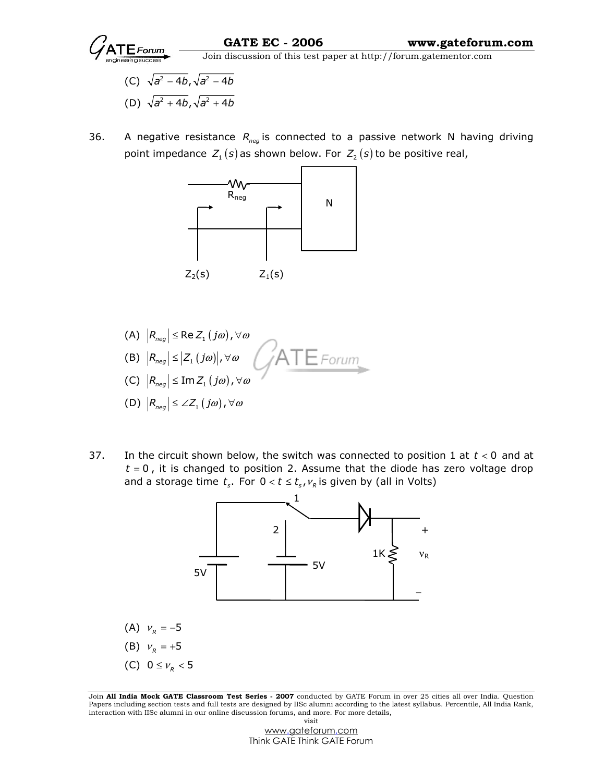

- (C)  $\sqrt{a^2 4b}$ ,  $\sqrt{a^2 4b}$
- (D)  $\sqrt{a^2 + 4b}$ ,  $\sqrt{a^2 + 4b}$
- 36. A negative resistance  $R_{\text{neq}}$  is connected to a passive network N having driving point impedance  $Z_1(s)$  as shown below. For  $Z_2(s)$  to be positive real,



- (A)  $|R_{neg}| \leq$  Re  $Z_1(j\omega)$ ,  $\forall \omega$ (B)  $|R_{neg}| \leq |Z_1 ( j\omega) |$ ,  $\forall \omega$ (C)  $\left| R_{neg} \right| \leq \text{Im} Z_1 \left( j\omega \right)$  ,  $\forall \omega$ (D)  $|R_{\text{neq}}| \leq \angle Z_1(j\omega), \forall \omega$
- 37. In the circuit shown below, the switch was connected to position 1 at  $t < 0$  and at  $t = 0$ , it is changed to position 2. Assume that the diode has zero voltage drop and a storage time  $t_s$ . For  $0 < t \leq t_s$ ,  $v_R$  is given by (all in Volts)



Join All India Mock GATE Classroom Test Series - 2007 conducted by GATE Forum in over 25 cities all over India. Question Papers including section tests and full tests are designed by IISc alumni according to the latest syllabus. Percentile, All India Rank, interaction with IISc alumni in our online discussion forums, and more. For more details, visit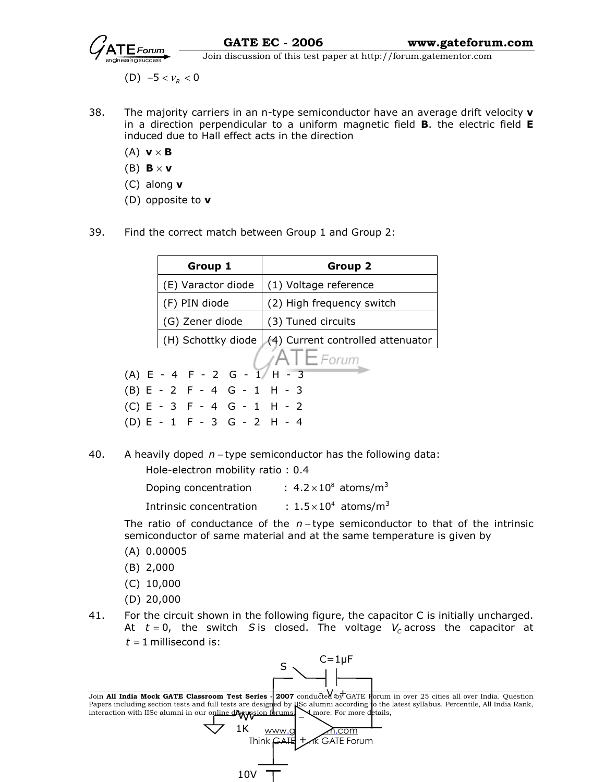

(D)  $-5 < v_R < 0$ 

- 38. The majority carriers in an n-type semiconductor have an average drift velocity  $\mathbf v$ in a direction perpendicular to a uniform magnetic field **B**. the electric field **E** induced due to Hall effect acts in the direction
	- (A)  $\mathbf{v} \times \mathbf{B}$
	- (B)  $\mathbf{B} \times \mathbf{v}$
	- (C) along  $v$
	- (D) opposite to v
- 39. Find the correct match between Group 1 and Group 2:

| Group 1                       | Group 2                                                |  |
|-------------------------------|--------------------------------------------------------|--|
| (E) Varactor diode            | (1) Voltage reference                                  |  |
| (F) PIN diode                 | (2) High frequency switch                              |  |
| (G) Zener diode               | (3) Tuned circuits                                     |  |
|                               | (H) Schottky diode $(4)$ Current controlled attenuator |  |
|                               | $I E$ Forum                                            |  |
| $(A) E - 4 F - 2 G - 1/H - 3$ |                                                        |  |
| $(B) E - 2 F - 4 G - 1 H - 3$ |                                                        |  |
| $(C) E - 3 F - 4 G - 1 H - 2$ |                                                        |  |
| $(D) E - 1 F - 3 G - 2 H - 4$ |                                                        |  |

40. A heavily doped n − type semiconductor has the following data:

Hole-electron mobility ratio : 0.4

| Doping concentration | : $4.2 \times 10^8$ atoms/m <sup>3</sup> |
|----------------------|------------------------------------------|
|                      |                                          |

Intrinsic concentration  $\qquad$  :  $1.5 \times 10^4$  atoms/m<sup>3</sup>

The ratio of conductance of the  $n$  – type semiconductor to that of the intrinsic semiconductor of same material and at the same temperature is given by

- (A) 0.00005
- (B) 2,000
- (C) 10,000
- (D) 20,000
- 41. For the circuit shown in the following figure, the capacitor C is initially uncharged. At  $t = 0$ , the switch S is closed. The voltage  $V_c$  across the capacitor at  $t = 1$  millisecond is:



Join All India Mock GATE Classroom Test Series - 2007 conducted of GATE Forum in over 25 cities all over India. Question Papers including section tests and full tests are designed by IISc alumni according to the latest syllabus. Percentile, All India Rank, interaction with IISc alumni in our online disappoint of  $\mathbf{a}$  more. For more details,

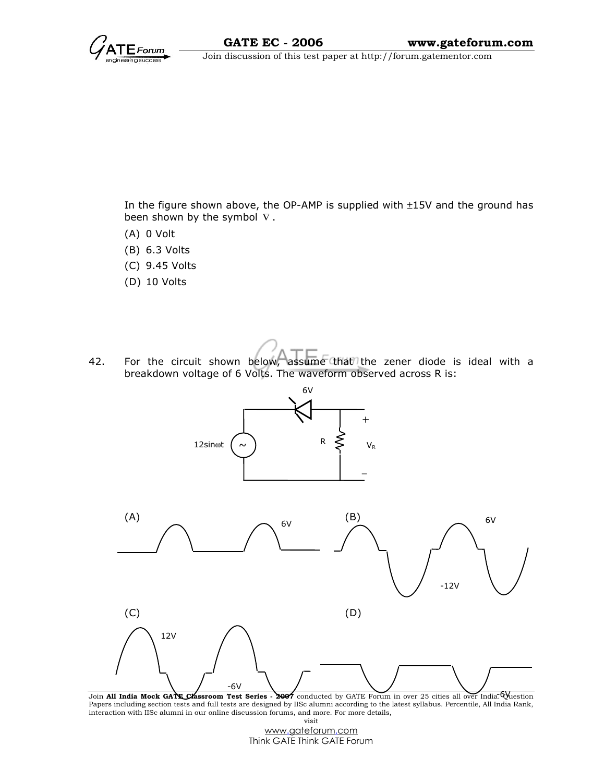In the figure shown above, the OP-AMP is supplied with ±15V and the ground has been shown by the symbol  $\nabla$ .

- (A) 0 Volt
- (B) 6.3 Volts
- (C) 9.45 Volts
- (D) 10 Volts
- 42. For the circuit shown below, assume that the zener diode is ideal with a breakdown voltage of 6 Volts. The waveform observed across R is:



Join All India Mock GATE Classroom Test Series - 2007 conducted by GATE Forum in over 25 cities all over India. Question Papers including section tests and full tests are designed by IISc alumni according to the latest syllabus. Percentile, All India Rank, interaction with IISc alumni in our online discussion forums, and more. For more details, visit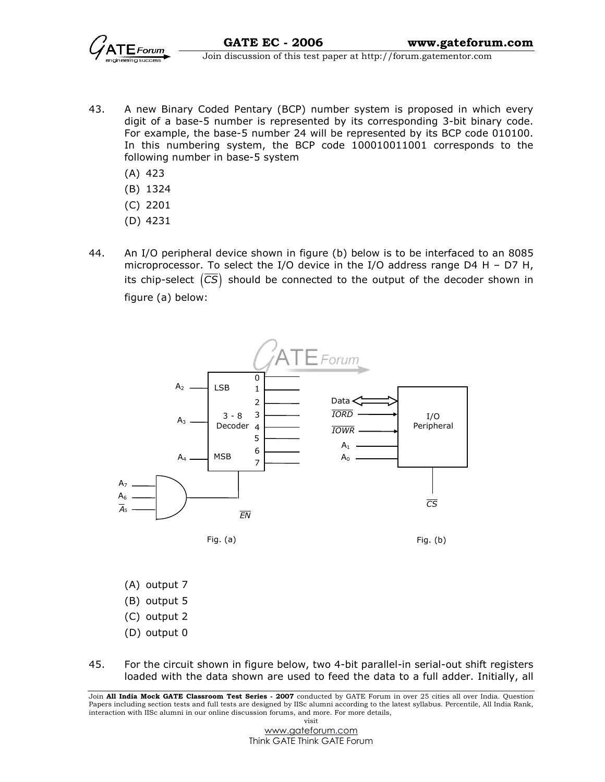

 $\overrightarrow{Grum}$  Join discussion of this test paper at http://forum.gatementor.com

- 43. A new Binary Coded Pentary (BCP) number system is proposed in which every digit of a base-5 number is represented by its corresponding 3-bit binary code. For example, the base-5 number 24 will be represented by its BCP code 010100. In this numbering system, the BCP code 100010011001 corresponds to the following number in base-5 system
	- (A) 423
	- (B) 1324
	- (C) 2201
	- (D) 4231
- 44. An I/O peripheral device shown in figure (b) below is to be interfaced to an 8085 microprocessor. To select the I/O device in the I/O address range D4 H – D7 H, its chip-select  $(\overline{CS})$  should be connected to the output of the decoder shown in figure (a) below:



- (A) output 7
- (B) output 5
- (C) output 2
- (D) output 0
- 45. For the circuit shown in figure below, two 4-bit parallel-in serial-out shift registers loaded with the data shown are used to feed the data to a full adder. Initially, all

Join All India Mock GATE Classroom Test Series - 2007 conducted by GATE Forum in over 25 cities all over India. Question Papers including section tests and full tests are designed by IISc alumni according to the latest syllabus. Percentile, All India Rank, interaction with IISc alumni in our online discussion forums, and more. For more details, visit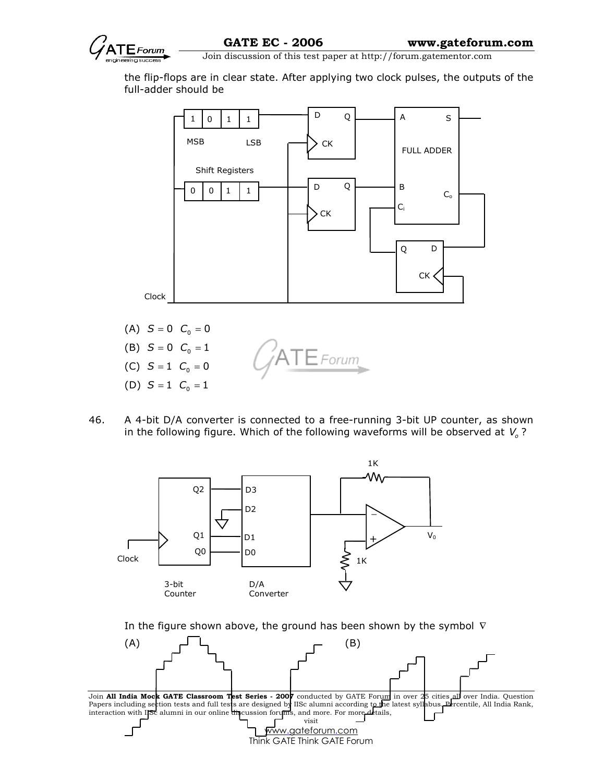

the flip-flops are in clear state. After applying two clock pulses, the outputs of the full-adder should be



- (A)  $S = 0$   $C_0 = 0$ (B)  $S = 0$   $C_0 = 1$  $\mathsf{TE}$  Forum (C)  $S = 1$   $C_0 = 0$ (D)  $S = 1$   $C_0 = 1$
- 46. A 4-bit D/A converter is connected to a free-running 3-bit UP counter, as shown in the following figure. Which of the following waveforms will be observed at  $V_o$ ?



In the figure shown above, the ground has been shown by the symbol  $∇$ 



Join All India Mock GATE Classroom Test Series - 2007 conducted by GATE Forum in over 25 cities all over India. Question Papers including section tests and full tests are designed by IISc alumni according to the latest syllabus. Percentile, All India Rank, interaction with IISc alumni in our online discussion forums, and more. For more details, visit

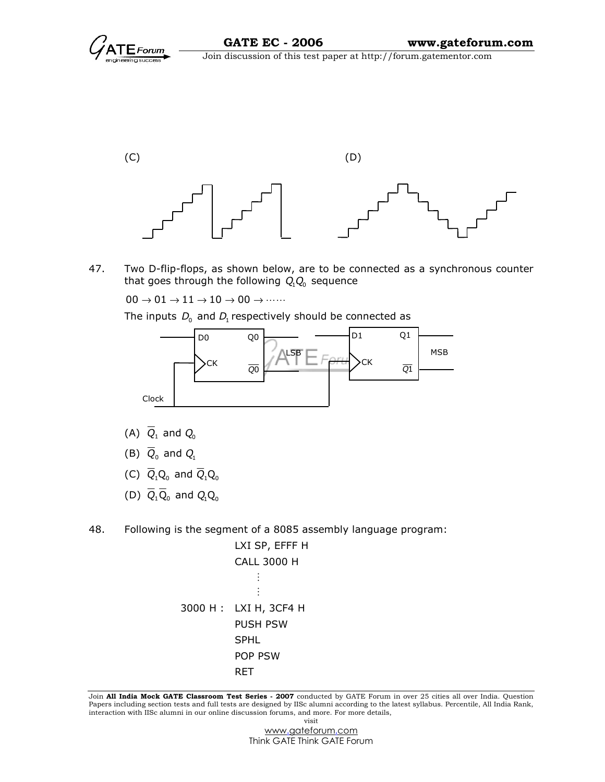

47. Two D-flip-flops, as shown below, are to be connected as a synchronous counter that goes through the following  $Q_1 Q_0$  sequence

 $00 \rightarrow 01 \rightarrow 11 \rightarrow 10 \rightarrow 00 \rightarrow \cdots$ 

The inputs  $D_0$  and  $D_1$  respectively should be connected as



- (A)  $\overline{Q}_1$  and  $Q_0$
- (B)  $\overline{Q}_0$  and  $Q_1$
- (C)  $\overline{Q}_1 Q_0$  and  $\overline{Q}_1 Q_0$
- (D)  $\overline{Q}_1 \overline{Q}_0$  and  $Q_1 Q_0$
- 48. Following is the segment of a 8085 assembly language program:

```
 LXI SP, EFFF H 
 CALL 3000 H 
     M
     \vdots 3000 H : LXI H, 3CF4 H 
 PUSH PSW 
 SPHL 
 POP PSW 
 RET
```
Join All India Mock GATE Classroom Test Series - 2007 conducted by GATE Forum in over 25 cities all over India. Question Papers including section tests and full tests are designed by IISc alumni according to the latest syllabus. Percentile, All India Rank, interaction with IISc alumni in our online discussion forums, and more. For more details, visit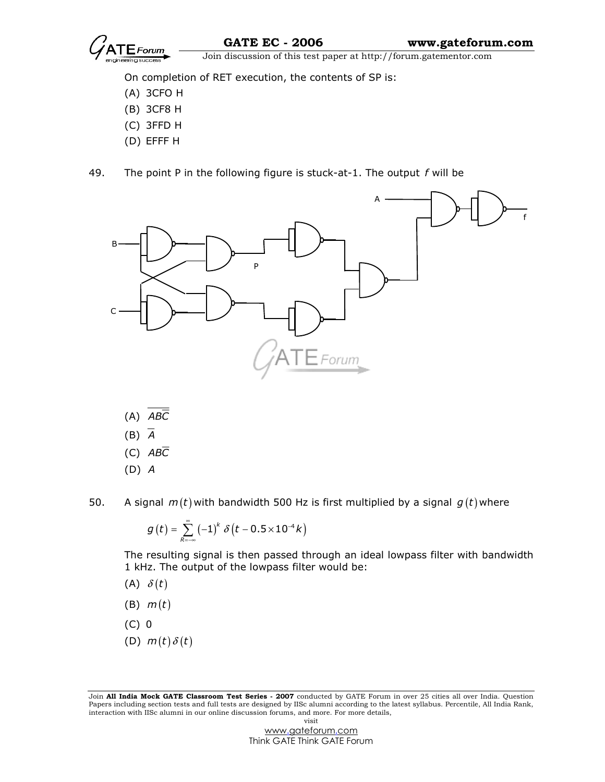

On completion of RET execution, the contents of SP is:

- (A) 3CFO H
- (B) 3CF8 H
- (C) 3FFD H
- (D) EFFF H
- 49. The point P in the following figure is stuck-at-1. The output  $f$  will be



 $(A)$   $AB\overline{C}$ 

- $(B)$   $\overline{A}$
- $(C)$   $AB\overline{C}$
- (D) A
- 

50. A signal  $m(t)$  with bandwidth 500 Hz is first multiplied by a signal  $g(t)$  where

$$
g\left(t\right)=\sum_{R=-\infty}^{\infty}\left(-1\right)^{k}\,\delta\left(t-0.5\!\times\!10^{-4}k\right)
$$

The resulting signal is then passed through an ideal lowpass filter with bandwidth 1 kHz. The output of the lowpass filter would be:

- (A)  $\delta(t)$
- $(B)$   $m(t)$
- (C) 0
- (D)  $m(t) \delta(t)$

Join All India Mock GATE Classroom Test Series - 2007 conducted by GATE Forum in over 25 cities all over India. Question Papers including section tests and full tests are designed by IISc alumni according to the latest syllabus. Percentile, All India Rank, interaction with IISc alumni in our online discussion forums, and more. For more details, visit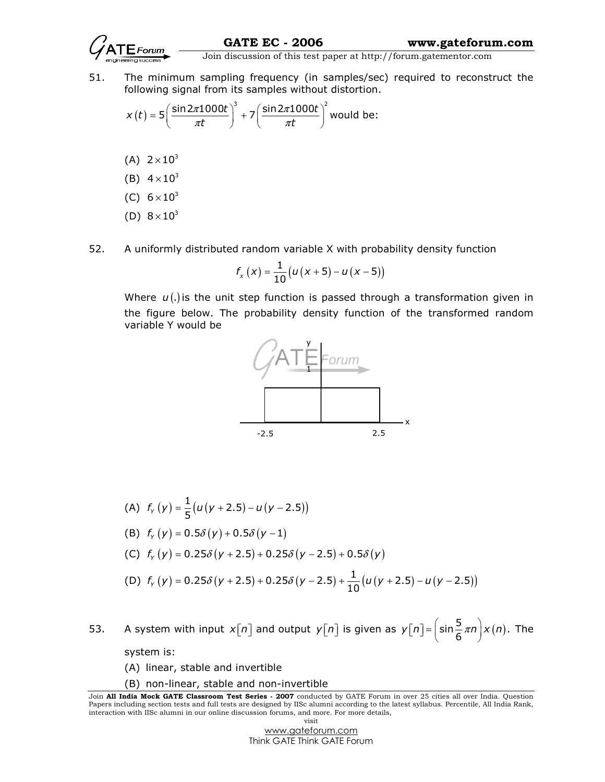

51. The minimum sampling frequency (in samples/sec) required to reconstruct the following signal from its samples without distortion.

$$
x(t) = 5\left(\frac{\sin 2\pi 1000t}{\pi t}\right)^3 + 7\left(\frac{\sin 2\pi 1000t}{\pi t}\right)^2
$$
 would be:

- (A)  $2 \times 10^{3}$
- (B)  $4 \times 10^{3}$
- (C)  $6 \times 10^{3}$
- (D)  $8 \times 10^{3}$
- 52. A uniformly distributed random variable X with probability density function

$$
f_{x}(x) = \frac{1}{10} (u(x+5) - u(x-5))
$$

Where  $u(.)$  is the unit step function is passed through a transformation given in the figure below. The probability density function of the transformed random variable Y would be



(A) 
$$
f_y(y) = \frac{1}{5}(u(y + 2.5) - u(y - 2.5))
$$
  
\n(B)  $f_y(y) = 0.5\delta(y) + 0.5\delta(y - 1)$   
\n(C)  $f_y(y) = 0.25\delta(y + 2.5) + 0.25\delta(y - 2.5) + 0.5\delta(y)$   
\n(D)  $f_y(y) = 0.25\delta(y + 2.5) + 0.25\delta(y - 2.5) + \frac{1}{10}(u(y + 2.5) - u(y - 2.5))$ 

53. A system with input  $x[n]$  and output  $y[n]$  is given as  $y[n] = \left(\sin \frac{5}{6} \pi n\right) x(n)$ . The

system is:

- (A) linear, stable and invertible
- (B) non-linear, stable and non-invertible

Join All India Mock GATE Classroom Test Series - 2007 conducted by GATE Forum in over 25 cities all over India. Question Papers including section tests and full tests are designed by IISc alumni according to the latest syllabus. Percentile, All India Rank, interaction with IISc alumni in our online discussion forums, and more. For more details, visit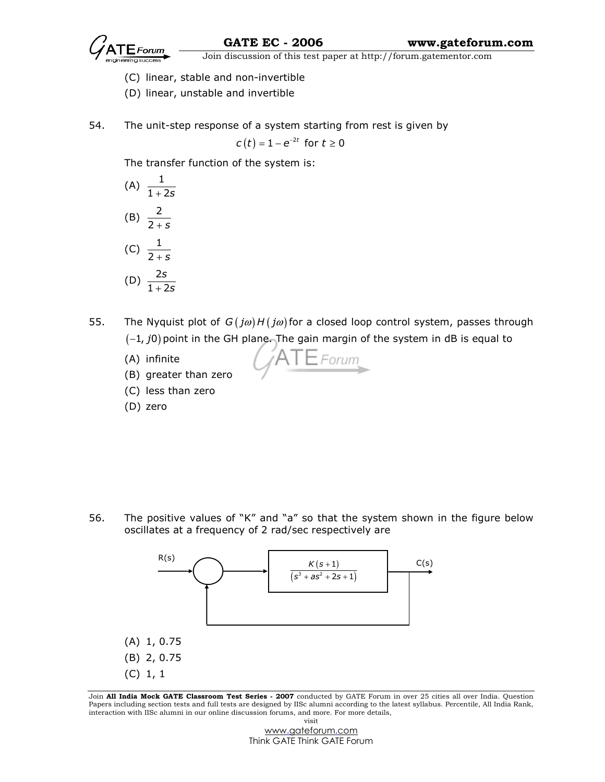

 $\overline{\text{Join}}$  Join discussion of this test paper at http://forum.gatementor.com

- (C) linear, stable and non-invertible
- (D) linear, unstable and invertible
- 54. The unit-step response of a system starting from rest is given by

$$
c(t) = 1 - e^{-2t} \text{ for } t \ge 0
$$

The transfer function of the system is:

(A) 
$$
\frac{1}{1+2s}
$$
  
\n(B)  $\frac{2}{2+s}$   
\n(C)  $\frac{1}{2+s}$   
\n(D)  $\frac{2s}{1+2s}$ 

55. The Nyquist plot of  $G(j\omega)H(j\omega)$  for a closed loop control system, passes through  $(-1, j0)$  point in the GH plane. The gain margin of the system in dB is equal to

 $A$  |  $E$  Forum

- (A) infinite
- (B) greater than zero
- (C) less than zero
- (D) zero

56. The positive values of "K" and "a" so that the system shown in the figure below oscillates at a frequency of 2 rad/sec respectively are



Join All India Mock GATE Classroom Test Series - 2007 conducted by GATE Forum in over 25 cities all over India. Question Papers including section tests and full tests are designed by IISc alumni according to the latest syllabus. Percentile, All India Rank, interaction with IISc alumni in our online discussion forums, and more. For more details, visit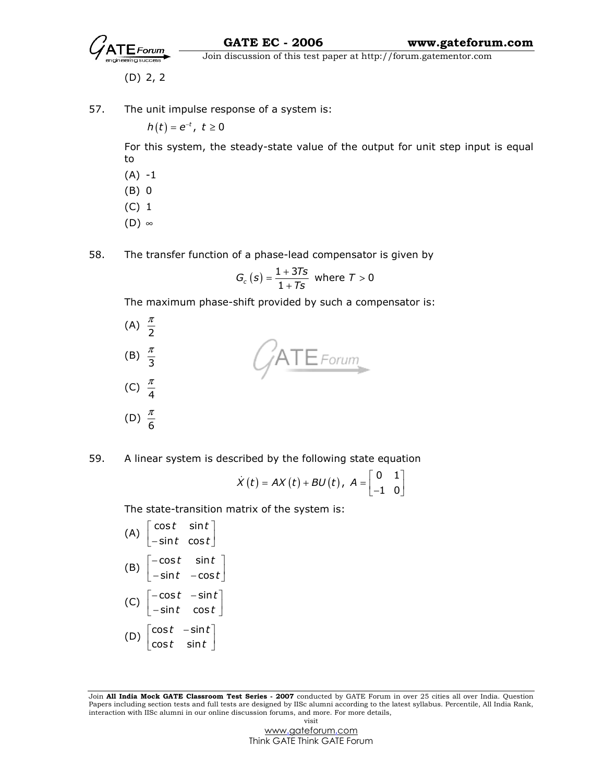

(D) 2, 2

57. The unit impulse response of a system is:

 $h(t)=e^{-t}$ ,  $t\geq 0$ 

For this system, the steady-state value of the output for unit step input is equal to

- $(A) -1$
- (B) 0
- (C) 1
- (D) ∞
- 58. The transfer function of a phase-lead compensator is given by

$$
G_c (s) = \frac{1+3Ts}{1+Ts} \text{ where } T > 0
$$

The maximum phase-shift provided by such a compensator is:

- π (A)  $\frac{\pi}{2}$  $ATE$ Forum π (B)  $\frac{\pi}{3}$ π (C)  $\frac{\pi}{4}$ π (D)  $\frac{\pi}{6}$
- 59. A linear system is described by the following state equation

$$
\dot{X}(t) = AX(t) + BU(t), A = \begin{bmatrix} 0 & 1 \\ -1 & 0 \end{bmatrix}
$$

The state-transition matrix of the system is:

 $(A) \begin{array}{c} \cos t & \sin t \\ -\sin t & \cos t \end{array}$  $t$  sin $t$  | t cost|  $\lceil \textsf{cost} \mid \textsf{sin}t \rceil$  $\lfloor$ −sint cost $\rfloor$ (B)  $\begin{vmatrix} -\cos t & \sin t \\ -\sin t & -\cos t \end{vmatrix}$  $t$  sin $t$ t  $-cost$ |  $\lceil -\cos t \quad \textsf{sin} \, t \rceil$  $\left\lfloor -\textsf{sin}t \;\; -\textsf{cos}t \right\rfloor$  $(C)$   $\begin{vmatrix} -\cos t & -\sin t \\ -\sin t & \cos t \end{vmatrix}$ t  $-$ sint  $|$  $t$  cos $t$  $\lceil -\cos t - \sin t \rceil$  $\lfloor$  – sint cost $\rfloor$ (D)  $\begin{vmatrix} \cos t & -\sin t \\ \cos t & \sin t \end{vmatrix}$  $t$  –sin $t$ |  $t$  sin $t$  $\lceil \textsf{cost} \> -\textsf{sin}\,t \rceil$  $\lfloor \textsf{cost} \text{ } \textsf{sin} t \rfloor$ 

Join All India Mock GATE Classroom Test Series - 2007 conducted by GATE Forum in over 25 cities all over India. Question Papers including section tests and full tests are designed by IISc alumni according to the latest syllabus. Percentile, All India Rank, interaction with IISc alumni in our online discussion forums, and more. For more details, visit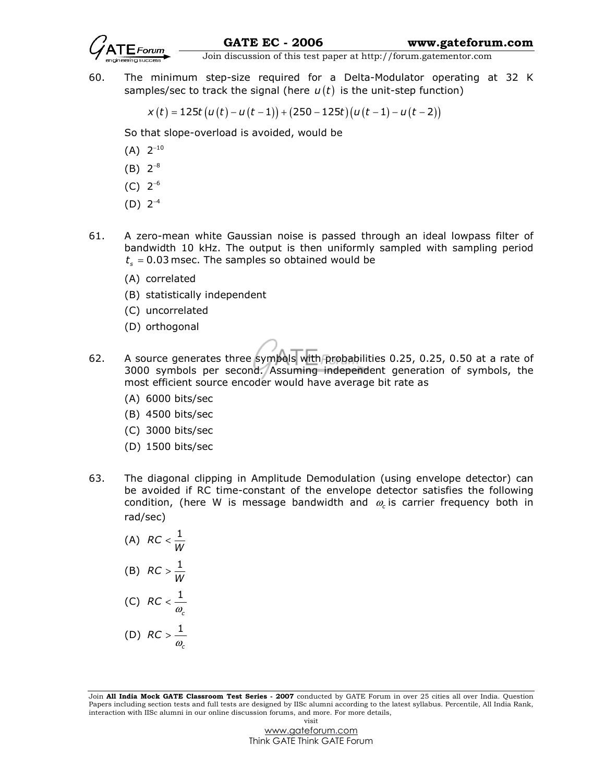

 $\overrightarrow{G}$  Join discussion of this test paper at http://forum.gatementor.com

60. The minimum step-size required for a Delta-Modulator operating at 32 K samples/sec to track the signal (here  $u(t)$  is the unit-step function)

 $x(t) = 125t (u(t) - u(t - 1)) + (250 - 125t)(u(t - 1) - u(t - 2))$ 

So that slope-overload is avoided, would be

- $(A) 2^{-10}$
- $(B) 2^{-8}$
- $(C) 2^{-6}$
- $(D) 2^{-4}$
- 61. A zero-mean white Gaussian noise is passed through an ideal lowpass filter of bandwidth 10 kHz. The output is then uniformly sampled with sampling period  $t_{s}$  = 0.03 msec. The samples so obtained would be
	- (A) correlated
	- (B) statistically independent
	- (C) uncorrelated
	- (D) orthogonal
- 62. A source generates three symbols with probabilities 0.25, 0.25, 0.50 at a rate of 3000 symbols per second. Assuming independent generation of symbols, the most efficient source encoder would have average bit rate as
	- (A) 6000 bits/sec
	- (B) 4500 bits/sec
	- (C) 3000 bits/sec
	- (D) 1500 bits/sec
- 63. The diagonal clipping in Amplitude Demodulation (using envelope detector) can be avoided if RC time-constant of the envelope detector satisfies the following condition, (here W is message bandwidth and  $\omega_c$  is carrier frequency both in rad/sec)
- (A)  $RC < \frac{1}{W}$ (B)  $RC > \frac{1}{W}$ (C)  $RC < \frac{1}{1}$ c  $RC < \frac{\texttt{-}}{\omega}$ (D)  $RC > \frac{1}{1}$ c  $RC > \frac{1}{\omega}$

Join All India Mock GATE Classroom Test Series - 2007 conducted by GATE Forum in over 25 cities all over India. Question Papers including section tests and full tests are designed by IISc alumni according to the latest syllabus. Percentile, All India Rank, interaction with IISc alumni in our online discussion forums, and more. For more details, visit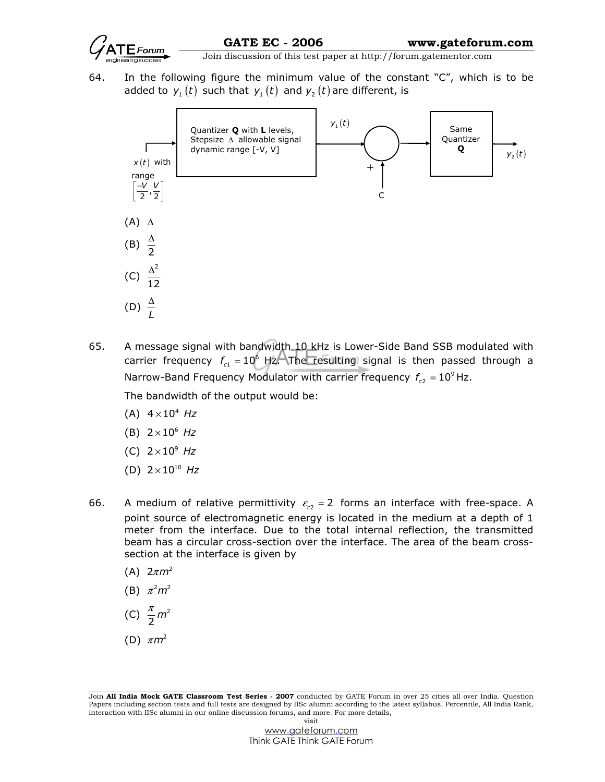

64. In the following figure the minimum value of the constant "C", which is to be added to  $y_1(t)$  such that  $y_1(t)$  and  $y_2(t)$  are different, is



65. A message signal with bandwidth 10 kHz is Lower-Side Band SSB modulated with carrier frequency  $f_{c1} = 10^6$  Hz. The resulting signal is then passed through a Narrow-Band Frequency Modulator with carrier frequency  $f_{c2} = 10^9$  Hz.

The bandwidth of the output would be:

- (A)  $4 \times 10^4$  Hz
- (B)  $2 \times 10^6$  Hz
- (C)  $2 \times 10^9$  Hz
- (D)  $2 \times 10^{10}$  Hz
- 66. A medium of relative permittivity  $\varepsilon_{r2}$  = 2 forms an interface with free-space. A point source of electromagnetic energy is located in the medium at a depth of 1 meter from the interface. Due to the total internal reflection, the transmitted beam has a circular cross-section over the interface. The area of the beam crosssection at the interface is given by
	- (A)  $2\pi m^2$
- (B)  $\pi^2 m^2$
- (C)  $\frac{\pi}{2} m^2$
- (D)  $\pi m^2$

Join All India Mock GATE Classroom Test Series - 2007 conducted by GATE Forum in over 25 cities all over India. Question Papers including section tests and full tests are designed by IISc alumni according to the latest syllabus. Percentile, All India Rank, interaction with IISc alumni in our online discussion forums, and more. For more details, visit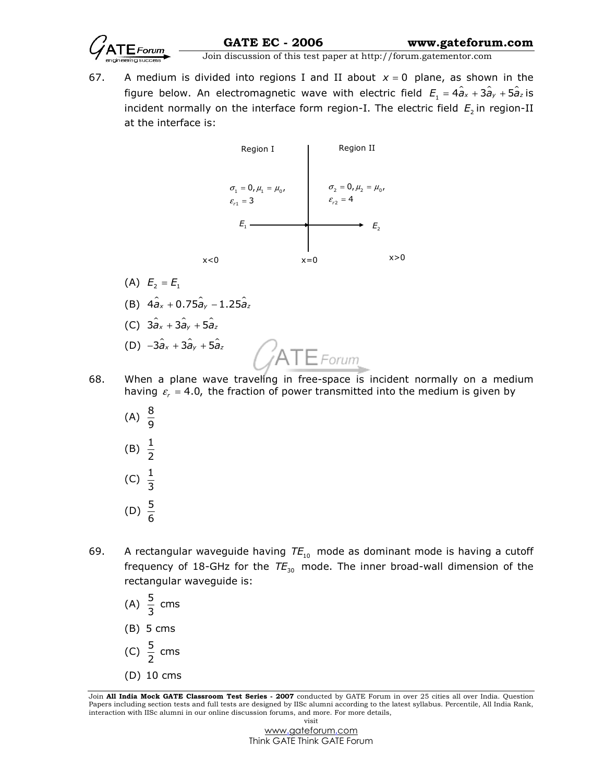

GATE EC - 2006 www.gateforum.com

Join discussion of this test paper at http://forum.gatementor.com

67. A medium is divided into regions I and II about  $x = 0$  plane, as shown in the figure below. An electromagnetic wave with electric field  $E_1 = 4\hat{a}_x + 3\hat{a}_y + 5\hat{a}_z$  is incident normally on the interface form region-I. The electric field  $E_{_2}$ in region-II at the interface is:



- (A)  $E_2 = E_1$ (B)  $4 \hat{a}_x + 0.75 \hat{a}_y - 1.25 \hat{a}_z$
- (C)  $3\hat{a}_x + 3\hat{a}_y + 5\hat{a}_z$

(D) 
$$
-3\hat{a}_x + 3\hat{a}_y + 5\hat{a}_z
$$

68. When a plane wave traveling in free-space is incident normally on a medium having  $\varepsilon$ <sub>r</sub> = 4.0, the fraction of power transmitted into the medium is given by

 $\bigcirc$ ATE Forum

- (A)  $\frac{8}{9}$ (B)  $\frac{1}{2}$ (C)  $\frac{1}{3}$ (D)  $\frac{5}{6}$
- 69. A rectangular waveguide having  $TE_{10}$  mode as dominant mode is having a cutoff frequency of 18-GHz for the  $TE_{30}$  mode. The inner broad-wall dimension of the rectangular waveguide is:
- (A)  $\frac{5}{3}$  cms
	- (B) 5 cms
- (C)  $\frac{5}{2}$  cms
	- (D) 10 cms

Join All India Mock GATE Classroom Test Series - 2007 conducted by GATE Forum in over 25 cities all over India. Question Papers including section tests and full tests are designed by IISc alumni according to the latest syllabus. Percentile, All India Rank, interaction with IISc alumni in our online discussion forums, and more. For more details, visit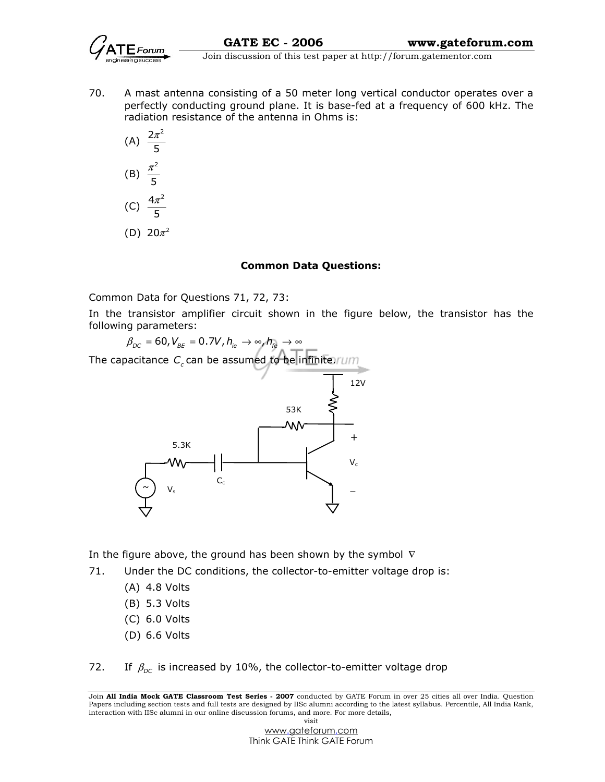

70. A mast antenna consisting of a 50 meter long vertical conductor operates over a perfectly conducting ground plane. It is base-fed at a frequency of 600 kHz. The radiation resistance of the antenna in Ohms is:

(A) 
$$
\frac{2\pi^2}{5}
$$
  
\n(B)  $\frac{\pi^2}{5}$   
\n(C)  $\frac{4\pi^2}{5}$   
\n(D)  $20\pi^2$ 

#### Common Data Questions:

Common Data for Questions 71, 72, 73:

In the transistor amplifier circuit shown in the figure below, the transistor has the following parameters:



In the figure above, the ground has been shown by the symbol  $\nabla$ 

- 71. Under the DC conditions, the collector-to-emitter voltage drop is:
	- (A) 4.8 Volts
	- (B) 5.3 Volts
	- (C) 6.0 Volts
	- (D) 6.6 Volts

72. If  $\beta_{DC}$  is increased by 10%, the collector-to-emitter voltage drop

Join All India Mock GATE Classroom Test Series - 2007 conducted by GATE Forum in over 25 cities all over India. Question Papers including section tests and full tests are designed by IISc alumni according to the latest syllabus. Percentile, All India Rank, interaction with IISc alumni in our online discussion forums, and more. For more details, visit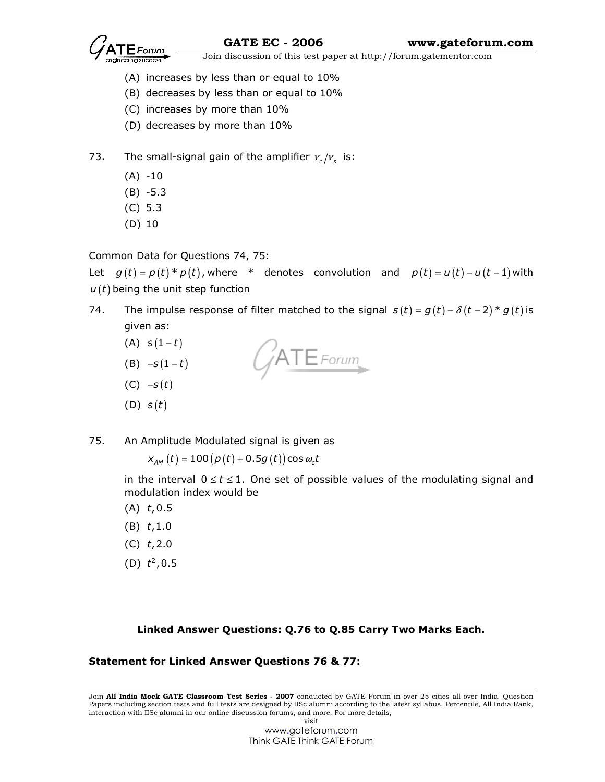

- (A) increases by less than or equal to 10%
- (B) decreases by less than or equal to 10%
- (C) increases by more than 10%
- (D) decreases by more than 10%
- 73. The small-signal gain of the amplifier  $v_c/v_s$  is:
	- $(A) -10$
	- (B) -5.3
	- (C) 5.3
	- (D) 10

Common Data for Questions 74, 75:

Let  $g(t) = p(t) * p(t)$ , where \* denotes convolution and  $p(t) = u(t) - u(t-1)$  with  $u(t)$  being the unit step function

- 74. The impulse response of filter matched to the signal  $s(t) = g(t) \delta(t-2) * g(t)$  is given as:
	- (A)  $s(1-t)$  $ATE$ Forum (B)  $-S(1-t)$  $(C) -s(t)$  $(D)$   $s(t)$
- 75. An Amplitude Modulated signal is given as

 $x_{_{AM}}\left( t \right) = 100\left( {\rho \left( t \right) + 0.5g\left( t \right)} \right) \cos {\omega _{\text{c}}t}$ 

in the interval  $0 \le t \le 1$ . One set of possible values of the modulating signal and modulation index would be

- $(A)$  t, 0.5
- $(B)$  t, 1.0
- $(C)$  t, 2.0
- (D)  $t^2$ , 0.5

## Linked Answer Questions: Q.76 to Q.85 Carry Two Marks Each.

Statement for Linked Answer Questions 76 & 77:

Join All India Mock GATE Classroom Test Series - 2007 conducted by GATE Forum in over 25 cities all over India. Question Papers including section tests and full tests are designed by IISc alumni according to the latest syllabus. Percentile, All India Rank, interaction with IISc alumni in our online discussion forums, and more. For more details, visit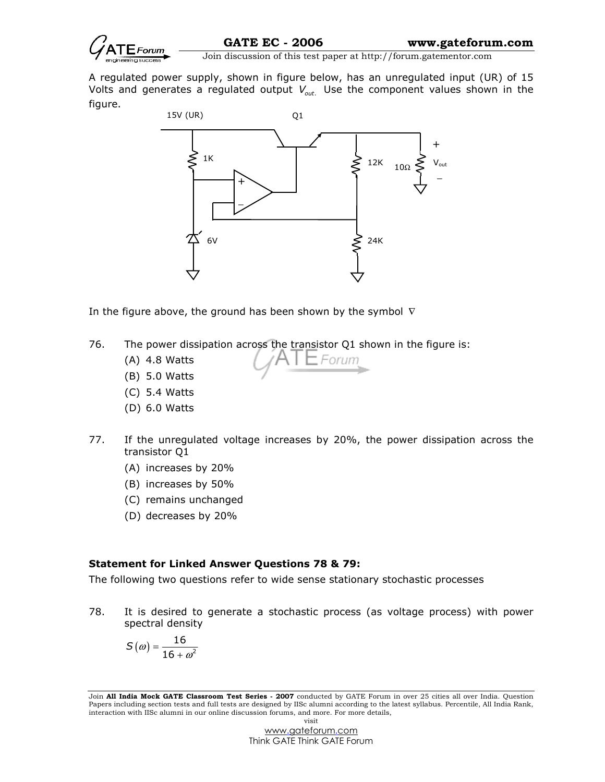

A regulated power supply, shown in figure below, has an unregulated input (UR) of 15 Volts and generates a regulated output  $V_{\text{out.}}$  Use the component values shown in the figure.



In the figure above, the ground has been shown by the symbol  $\nabla$ 

- 76. The power dissipation across the transistor Q1 shown in the figure is:
	- (A) 4.8 Watts
	- (B) 5.0 Watts
	- (C) 5.4 Watts
	- (D) 6.0 Watts
- 77. If the unregulated voltage increases by 20%, the power dissipation across the transistor Q1

Forun

- (A) increases by 20%
- (B) increases by 50%
- (C) remains unchanged
- (D) decreases by 20%

#### Statement for Linked Answer Questions 78 & 79:

The following two questions refer to wide sense stationary stochastic processes

78. It is desired to generate a stochastic process (as voltage process) with power spectral density

$$
S(\omega)=\frac{16}{16+\omega^2}
$$

Join All India Mock GATE Classroom Test Series - 2007 conducted by GATE Forum in over 25 cities all over India. Question Papers including section tests and full tests are designed by IISc alumni according to the latest syllabus. Percentile, All India Rank, interaction with IISc alumni in our online discussion forums, and more. For more details, visit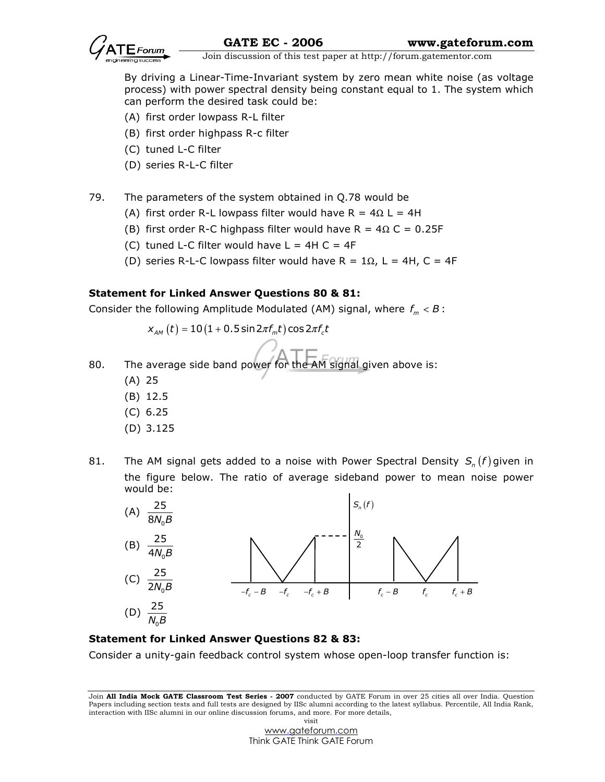

 By driving a Linear-Time-Invariant system by zero mean white noise (as voltage process) with power spectral density being constant equal to 1. The system which can perform the desired task could be:

- (A) first order lowpass R-L filter
- (B) first order highpass R-c filter
- (C) tuned L-C filter
- (D) series R-L-C filter
- 79. The parameters of the system obtained in Q.78 would be
	- (A) first order R-L lowpass filter would have R =  $4\Omega$  L = 4H
	- (B) first order R-C highpass filter would have R =  $4\Omega$  C = 0.25F
	- (C) tuned L-C filter would have  $L = 4H C = 4F$
	- (D) series R-L-C lowpass filter would have R =  $1\Omega$ , L = 4H, C = 4F

### Statement for Linked Answer Questions 80 & 81:

Consider the following Amplitude Modulated (AM) signal, where  $f_m < B$ :

$$
x_{_{AM}}(t) = 10(1 + 0.5\sin 2\pi f_m t)\cos 2\pi f_c t
$$

- 80. The average side band power for the AM signal given above is:
	- (A) 25
	- (B) 12.5
	- (C) 6.25
	- (D) 3.125
- 81. The AM signal gets added to a noise with Power Spectral Density  $S_n(f)$  given in the figure below. The ratio of average sideband power to mean noise power would be:



#### Statement for Linked Answer Questions 82 & 83:

Consider a unity-gain feedback control system whose open-loop transfer function is:

Join All India Mock GATE Classroom Test Series - 2007 conducted by GATE Forum in over 25 cities all over India. Question Papers including section tests and full tests are designed by IISc alumni according to the latest syllabus. Percentile, All India Rank, interaction with IISc alumni in our online discussion forums, and more. For more details, visit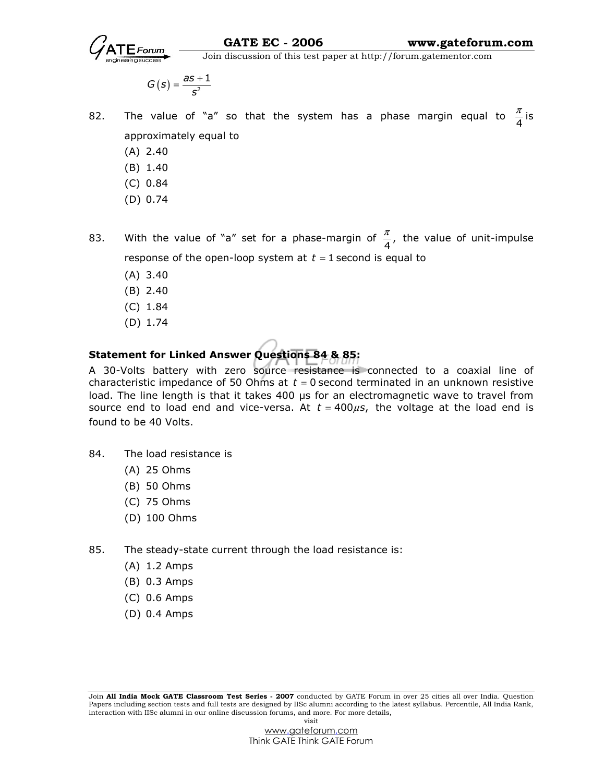

$$
G(s)=\frac{as+1}{s^2}
$$

- 82. The value of "a" so that the system has a phase margin equal to  $\frac{\pi}{4}$  $\frac{\pi}{4}$  is approximately equal to
	- (A) 2.40
	- (B) 1.40
	- (C) 0.84
	- (D) 0.74
- 83. With the value of "a" set for a phase-margin of  $\frac{\pi}{4}$ ,  $\frac{\pi}{4}$ , the value of unit-impulse response of the open-loop system at  $t = 1$  second is equal to
	- (A) 3.40
	- (B) 2.40
	- (C) 1.84
	- (D) 1.74

# Statement for Linked Answer Questions 84 & 85:

A 30-Volts battery with zero source resistance is connected to a coaxial line of characteristic impedance of 50 Ohms at  $t = 0$  second terminated in an unknown resistive load. The line length is that it takes 400 µs for an electromagnetic wave to travel from source end to load end and vice-versa. At  $t = 400 \mu s$ , the voltage at the load end is found to be 40 Volts.

- 84. The load resistance is
	- (A) 25 Ohms
	- (B) 50 Ohms
	- (C) 75 Ohms
	- (D) 100 Ohms
- 85. The steady-state current through the load resistance is:
	- (A) 1.2 Amps
	- (B) 0.3 Amps
	- (C) 0.6 Amps
	- (D) 0.4 Amps

Join All India Mock GATE Classroom Test Series - 2007 conducted by GATE Forum in over 25 cities all over India. Question Papers including section tests and full tests are designed by IISc alumni according to the latest syllabus. Percentile, All India Rank, interaction with IISc alumni in our online discussion forums, and more. For more details, visit